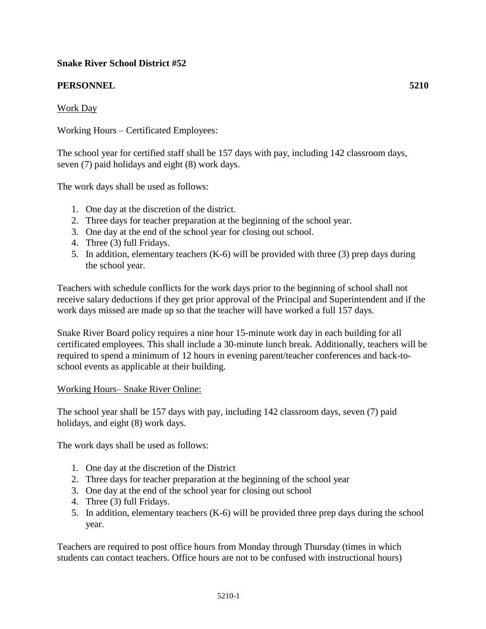## **Snake River School District #52**

# **PERSONNEL 5210**

## Work Day

Working Hours – Certificated Employees:

The school year for certified staff shall be 157 days with pay, including 142 classroom days, seven (7) paid holidays and eight (8) work days.

The work days shall be used as follows:

- 1. One day at the discretion of the district.
- 2. Three days for teacher preparation at the beginning of the school year.
- 3. One day at the end of the school year for closing out school.
- 4. Three (3) full Fridays.
- 5. In addition, elementary teachers (K-6) will be provided with three (3) prep days during the school year.

Teachers with schedule conflicts for the work days prior to the beginning of school shall not receive salary deductions if they get prior approval of the Principal and Superintendent and if the work days missed are made up so that the teacher will have worked a full 157 days.

Snake River Board policy requires a nine hour 15-minute work day in each building for all certificated employees. This shall include a 30-minute lunch break. Additionally, teachers will be required to spend a minimum of 12 hours in evening parent/teacher conferences and back-toschool events as applicable at their building.

#### Working Hours– Snake River Online:

The school year shall be 157 days with pay, including 142 classroom days, seven (7) paid holidays, and eight (8) work days.

The work days shall be used as follows:

- 1. One day at the discretion of the District
- 2. Three days for teacher preparation at the beginning of the school year
- 3. One day at the end of the school year for closing out school
- 4. Three (3) full Fridays.
- 5. In addition, elementary teachers (K-6) will be provided three prep days during the school year.

Teachers are required to post office hours from Monday through Thursday (times in which students can contact teachers. Office hours are not to be confused with instructional hours)